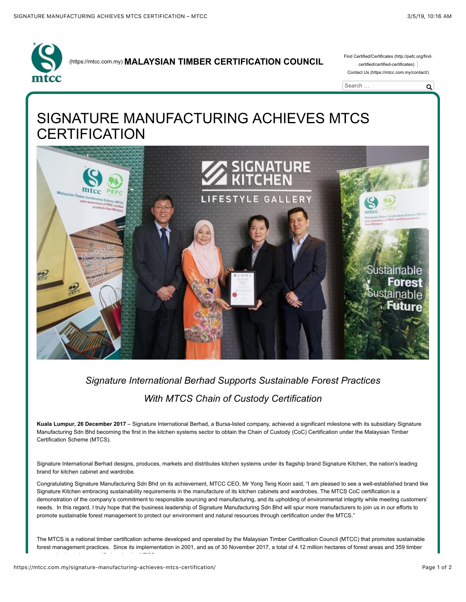

### [\(https://mtcc.com.my\)](https://mtcc.com.my/) **MALAYSIAN TIMBER CERTIFICATION COUNCIL** [Find Certified/Certificates \(http://pefc.org/find-](http://pefc.org/find-certified/certified-certificates)

certified/certified-certificates) [Contact Us \(https://mtcc.com.my/contact/\)](https://mtcc.com.my/contact/)



# SIGNATURE MANUFACTURING ACHIEVES MTCS **CERTIFICATION**



## *Signature International Berhad Supports Sustainable Forest Practices With MTCS Chain of Custody Certification*

**Kuala Lumpur, 26 December 2017** – Signature International Berhad, a Bursa-listed company, achieved a significant milestone with its subsidiary Signature Manufacturing Sdn Bhd becoming the first in the kitchen systems sector to obtain the Chain of Custody (CoC) Certification under the Malaysian Timber Certification Scheme (MTCS).

Signature International Berhad designs, produces, markets and distributes kitchen systems under its flagship brand Signature Kitchen, the nation's leading brand for kitchen cabinet and wardrobe.

Congratulating Signature Manufacturing Sdn Bhd on its achievement, MTCC CEO, Mr Yong Teng Koon said, "I am pleased to see a well-established brand like Signature Kitchen embracing sustainability requirements in the manufacture of its kitchen cabinets and wardrobes. The MTCS CoC certification is a demonstration of the company's commitment to responsible sourcing and manufacturing, and its upholding of environmental integrity while meeting customers' needs. In this regard, I truly hope that the business leadership of Signature Manufacturing Sdn Bhd will spur more manufacturers to join us in our efforts to promote sustainable forest management to protect our environment and natural resources through certification under the MTCS."

The MTCS is a national timber certification scheme developed and operated by the Malaysian Timber Certification Council (MTCC) that promotes sustainable forest management practices. Since its implementation in 2001, and as of 30 November 2017, a total of 4.12 million hectares of forest areas and 359 timber